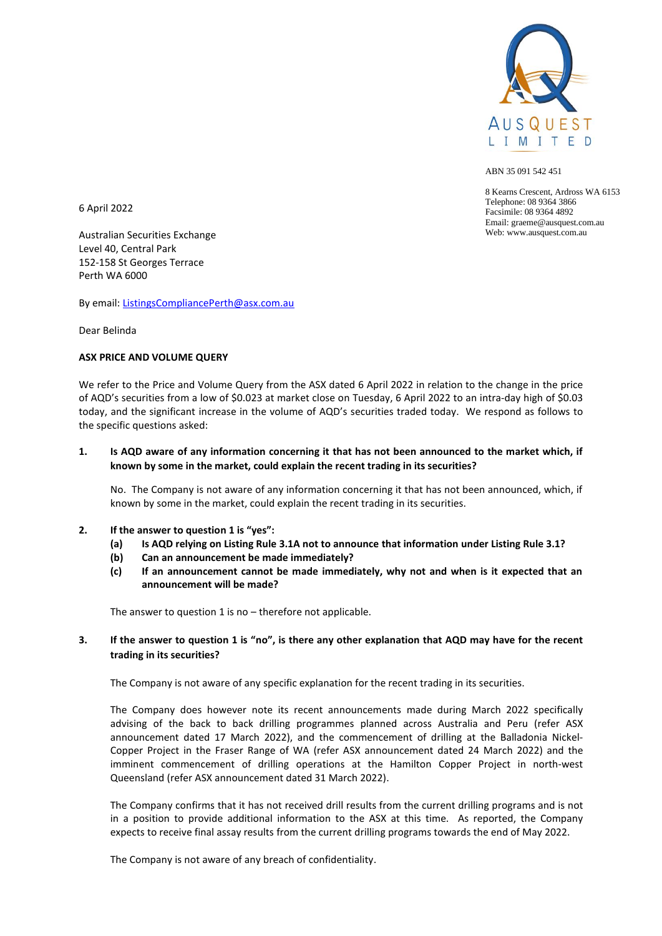

ABN 35 091 542 451

8 Kearns Crescent, Ardross WA 6153 Telephone: 08 9364 3866 Facsimile: 08 9364 4892 Email: graeme@ausquest.com.au Web: www.ausquest.com.au

6 April 2022

Australian Securities Exchange Level 40, Central Park 152-158 St Georges Terrace Perth WA 6000

By email[: ListingsCompliancePerth@asx.com.au](mailto:ListingsCompliancePerth@asx.com.au)

Dear Belinda

## **ASX PRICE AND VOLUME QUERY**

We refer to the Price and Volume Query from the ASX dated 6 April 2022 in relation to the change in the price of AQD's securities from a low of \$0.023 at market close on Tuesday, 6 April 2022 to an intra-day high of \$0.03 today, and the significant increase in the volume of AQD's securities traded today. We respond as follows to the specific questions asked:

# **1. Is AQD aware of any information concerning it that has not been announced to the market which, if known by some in the market, could explain the recent trading in its securities?**

No. The Company is not aware of any information concerning it that has not been announced, which, if known by some in the market, could explain the recent trading in its securities.

- **2. If the answer to question 1 is "yes":** 
	- **(a) Is AQD relying on Listing Rule 3.1A not to announce that information under Listing Rule 3.1?**
	- **(b) Can an announcement be made immediately?**
	- **(c) If an announcement cannot be made immediately, why not and when is it expected that an announcement will be made?**

The answer to question 1 is no  $-$  therefore not applicable.

# **3. If the answer to question 1 is "no", is there any other explanation that AQD may have for the recent trading in its securities?**

The Company is not aware of any specific explanation for the recent trading in its securities.

The Company does however note its recent announcements made during March 2022 specifically advising of the back to back drilling programmes planned across Australia and Peru (refer ASX announcement dated 17 March 2022), and the commencement of drilling at the Balladonia Nickel-Copper Project in the Fraser Range of WA (refer ASX announcement dated 24 March 2022) and the imminent commencement of drilling operations at the Hamilton Copper Project in north-west Queensland (refer ASX announcement dated 31 March 2022).

The Company confirms that it has not received drill results from the current drilling programs and is not in a position to provide additional information to the ASX at this time. As reported, the Company expects to receive final assay results from the current drilling programs towards the end of May 2022.

The Company is not aware of any breach of confidentiality.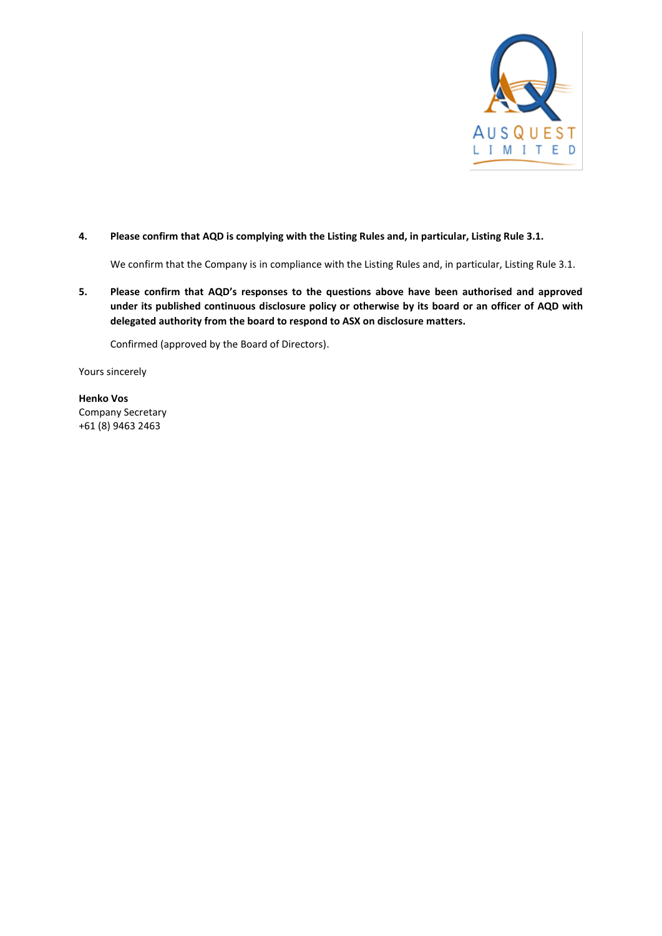

## **4. Please confirm that AQD is complying with the Listing Rules and, in particular, Listing Rule 3.1.**

We confirm that the Company is in compliance with the Listing Rules and, in particular, Listing Rule 3.1.

**5. Please confirm that AQD's responses to the questions above have been authorised and approved under its published continuous disclosure policy or otherwise by its board or an officer of AQD with delegated authority from the board to respond to ASX on disclosure matters.**

Confirmed (approved by the Board of Directors).

Yours sincerely

**Henko Vos** Company Secretary +61 (8) 9463 2463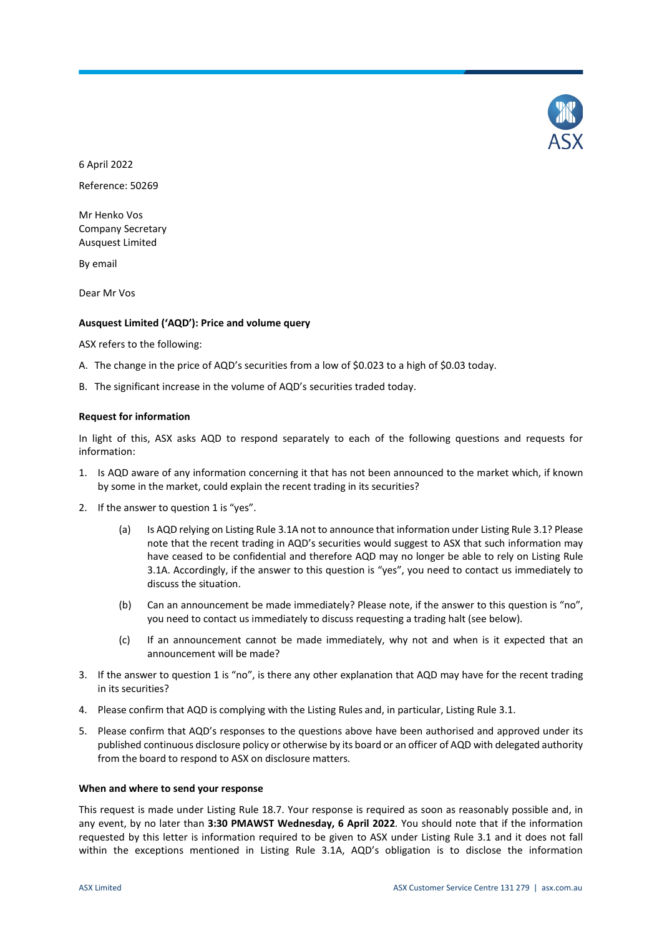

6 April 2022 Reference: 50269

Mr Henko Vos Company Secretary Ausquest Limited

By email

Dear Mr Vos

### **Ausquest Limited ('AQD'): Price and volume query**

ASX refers to the following:

- A. The change in the price of AQD's securities from a low of \$0.023 to a high of \$0.03 today.
- B. The significant increase in the volume of AQD's securities traded today.

### **Request for information**

In light of this, ASX asks AQD to respond separately to each of the following questions and requests for information:

- 1. Is AQD aware of any information concerning it that has not been announced to the market which, if known by some in the market, could explain the recent trading in its securities?
- 2. If the answer to question 1 is "yes".
	- (a) Is AQD relying on Listing Rule 3.1A not to announce that information under Listing Rule 3.1? Please note that the recent trading in AQD's securities would suggest to ASX that such information may have ceased to be confidential and therefore AQD may no longer be able to rely on Listing Rule 3.1A. Accordingly, if the answer to this question is "yes", you need to contact us immediately to discuss the situation.
	- (b) Can an announcement be made immediately? Please note, if the answer to this question is "no", you need to contact us immediately to discuss requesting a trading halt (see below).
	- (c) If an announcement cannot be made immediately, why not and when is it expected that an announcement will be made?
- 3. If the answer to question 1 is "no", is there any other explanation that AQD may have for the recent trading in its securities?
- 4. Please confirm that AQD is complying with the Listing Rules and, in particular, Listing Rule 3.1.
- 5. Please confirm that AQD's responses to the questions above have been authorised and approved under its published continuous disclosure policy or otherwise by its board or an officer of AQD with delegated authority from the board to respond to ASX on disclosure matters.

#### **When and where to send your response**

This request is made under Listing Rule 18.7. Your response is required as soon as reasonably possible and, in any event, by no later than **3:30 PMAWST Wednesday, 6 April 2022**. You should note that if the information requested by this letter is information required to be given to ASX under Listing Rule 3.1 and it does not fall within the exceptions mentioned in Listing Rule 3.1A, AQD's obligation is to disclose the information